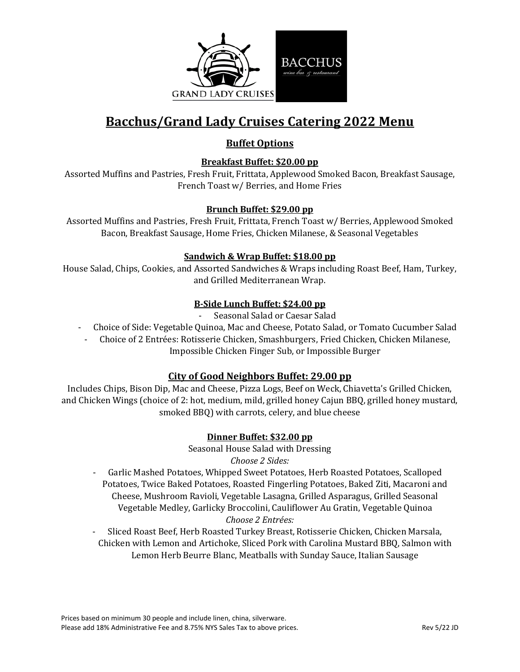

# **Bacchus/Grand Lady Cruises Catering 2022 Menu**

## **Buffet Options**

### **Breakfast Buffet: \$20.00 pp**

Assorted Muffins and Pastries, Fresh Fruit, Frittata, Applewood Smoked Bacon, Breakfast Sausage, French Toast w/ Berries, and Home Fries

### **Brunch Buffet: \$29.00 pp**

Assorted Muffins and Pastries, Fresh Fruit, Frittata, French Toast w/ Berries, Applewood Smoked Bacon, Breakfast Sausage, Home Fries, Chicken Milanese, & Seasonal Vegetables

### **Sandwich & Wrap Buffet: \$18.00 pp**

House Salad, Chips, Cookies, and Assorted Sandwiches & Wraps including Roast Beef, Ham, Turkey, and Grilled Mediterranean Wrap.

## **B-Side Lunch Buffet: \$24.00 pp**

- Seasonal Salad or Caesar Salad
- Choice of Side: Vegetable Quinoa, Mac and Cheese, Potato Salad, or Tomato Cucumber Salad
- Choice of 2 Entrées: Rotisserie Chicken, Smashburgers, Fried Chicken, Chicken Milanese, Impossible Chicken Finger Sub, or Impossible Burger

## **City of Good Neighbors Buffet: 29.00 pp**

Includes Chips, Bison Dip, Mac and Cheese, Pizza Logs, Beef on Weck, Chiavetta's Grilled Chicken, and Chicken Wings (choice of 2: hot, medium, mild, grilled honey Cajun BBQ, grilled honey mustard, smoked BBQ) with carrots, celery, and blue cheese

#### **Dinner Buffet: \$32.00 pp**

Seasonal House Salad with Dressing *Choose 2 Sides:*

- Garlic Mashed Potatoes, Whipped Sweet Potatoes, Herb Roasted Potatoes, Scalloped Potatoes, Twice Baked Potatoes, Roasted Fingerling Potatoes, Baked Ziti, Macaroni and Cheese, Mushroom Ravioli, Vegetable Lasagna, Grilled Asparagus, Grilled Seasonal Vegetable Medley, Garlicky Broccolini, Cauliflower Au Gratin, Vegetable Quinoa *Choose 2 Entrées:* 

- Sliced Roast Beef, Herb Roasted Turkey Breast, Rotisserie Chicken, Chicken Marsala, Chicken with Lemon and Artichoke, Sliced Pork with Carolina Mustard BBQ, Salmon with Lemon Herb Beurre Blanc, Meatballs with Sunday Sauce, Italian Sausage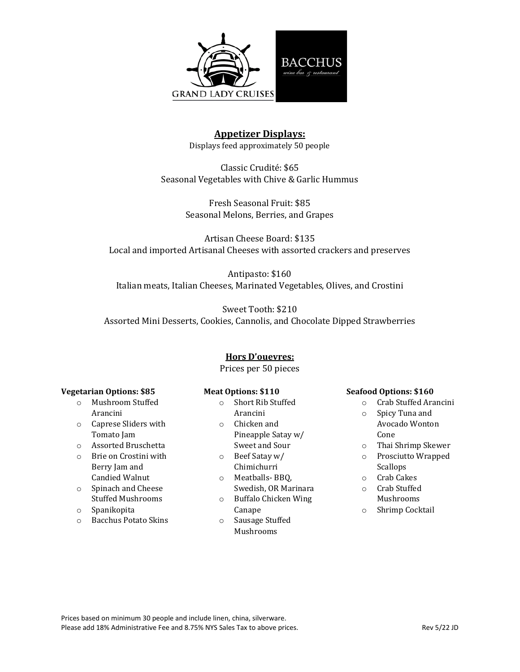

## **Appetizer Displays:**

Displays feed approximately 50 people

Classic Crudité: \$65 Seasonal Vegetables with Chive & Garlic Hummus

> Fresh Seasonal Fruit: \$85 Seasonal Melons, Berries, and Grapes

Artisan Cheese Board: \$135 Local and imported Artisanal Cheeses with assorted crackers and preserves

Antipasto: \$160 Italian meats, Italian Cheeses, Marinated Vegetables, Olives, and Crostini

Sweet Tooth: \$210 Assorted Mini Desserts, Cookies, Cannolis, and Chocolate Dipped Strawberries

#### **Hors D'ouevres:**

Prices per 50 pieces

#### **Vegetarian Options: \$85**

- o Mushroom Stuffed Arancini
- o Caprese Sliders with Tomato Jam
- o Assorted Bruschetta
- o Brie on Crostini with Berry Jam and Candied Walnut
- o Spinach and Cheese Stuffed Mushrooms
- o Spanikopita
- o Bacchus Potato Skins

#### **Meat Options: \$110**

- o Short Rib Stuffed Arancini
- o Chicken and Pineapple Satay w/
- Sweet and Sour o Beef Satay w/
- Chimichurri
- o Meatballs- BBQ, Swedish, OR Marinara
- o Buffalo Chicken Wing Canape
- o Sausage Stuffed Mushrooms

#### **Seafood Options: \$160**

- o Crab Stuffed Arancini
- o Spicy Tuna and Avocado Wonton Cone
- o Thai Shrimp Skewer
- o Prosciutto Wrapped Scallops
- o Crab Cakes
- o Crab Stuffed Mushrooms
- o Shrimp Cocktail